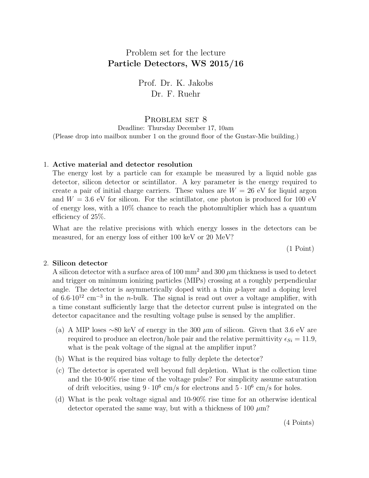# Problem set for the lecture Particle Detectors, WS 2015/16

Prof. Dr. K. Jakobs Dr. F. Ruehr

## PROBLEM SET 8

Deadline: Thursday December 17, 10am (Please drop into mailbox number 1 on the ground floor of the Gustav-Mie building.)

#### 1. Active material and detector resolution

The energy lost by a particle can for example be measured by a liquid noble gas detector, silicon detector or scintillator. A key parameter is the energy required to create a pair of initial charge carriers. These values are  $W = 26$  eV for liquid argon and  $W = 3.6$  eV for silicon. For the scintillator, one photon is produced for 100 eV of energy loss, with a 10% chance to reach the photomultiplier which has a quantum efficiency of 25%.

What are the relative precisions with which energy losses in the detectors can be measured, for an energy loss of either 100 keV or 20 MeV?

(1 Point)

#### 2. Silicon detector

A silicon detector with a surface area of 100 mm<sup>2</sup> and 300  $\mu$ m thickness is used to detect and trigger on minimum ionizing particles (MIPs) crossing at a roughly perpendicular angle. The detector is asymmetrically doped with a thin  $p$ -layer and a doping level of  $6.6 \cdot 10^{12}$  cm<sup>-3</sup> in the *n*-bulk. The signal is read out over a voltage amplifier, with a time constant sufficiently large that the detector current pulse is integrated on the detector capacitance and the resulting voltage pulse is sensed by the amplifier.

- (a) A MIP loses ∼80 keV of energy in the 300  $\mu$ m of silicon. Given that 3.6 eV are required to produce an electron/hole pair and the relative permittivity  $\epsilon_{Si} = 11.9$ , what is the peak voltage of the signal at the amplifier input?
- (b) What is the required bias voltage to fully deplete the detector?
- (c) The detector is operated well beyond full depletion. What is the collection time and the 10-90% rise time of the voltage pulse? For simplicity assume saturation of drift velocities, using  $9 \cdot 10^6$  cm/s for electrons and  $5 \cdot 10^6$  cm/s for holes.
- (d) What is the peak voltage signal and 10-90% rise time for an otherwise identical detector operated the same way, but with a thickness of 100  $\mu$ m?

(4 Points)